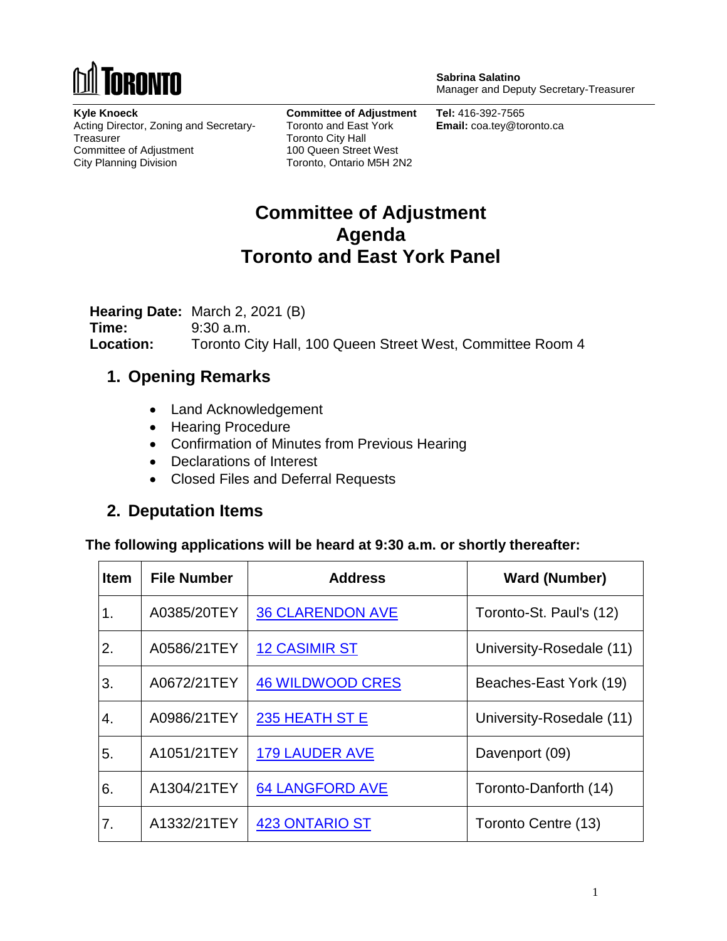

**Sabrina Salatino** Manager and Deputy Secretary-Treasurer

**Kyle Knoeck** Acting Director, Zoning and Secretary-**Treasurer** Committee of Adjustment City Planning Division

**Committee of Adjustment** Toronto and East York Toronto City Hall 100 Queen Street West Toronto, Ontario M5H 2N2

**Tel:** 416-392-7565 **Email:** coa.tey@toronto.ca

# **Committee of Adjustment Agenda Toronto and East York Panel**

**Hearing Date:** March 2, 2021 (B) **Time:** 9:30 a.m. **Location:** Toronto City Hall, 100 Queen Street West, Committee Room 4

### **1. Opening Remarks**

- Land Acknowledgement
- Hearing Procedure
- Confirmation of Minutes from Previous Hearing
- Declarations of Interest
- Closed Files and Deferral Requests

### **2. Deputation Items**

**The following applications will be heard at 9:30 a.m. or shortly thereafter:**

| Item | <b>File Number</b> | <b>Address</b>          | <b>Ward (Number)</b>     |
|------|--------------------|-------------------------|--------------------------|
| 1.   | A0385/20TEY        | <b>36 CLARENDON AVE</b> | Toronto-St. Paul's (12)  |
| 2.   | A0586/21TEY        | <b>12 CASIMIR ST</b>    | University-Rosedale (11) |
| 3.   | A0672/21TEY        | <b>46 WILDWOOD CRES</b> | Beaches-East York (19)   |
| 4.   | A0986/21TEY        | 235 HEATH ST E          | University-Rosedale (11) |
| 5.   | A1051/21TEY        | <b>179 LAUDER AVE</b>   | Davenport (09)           |
| 6.   | A1304/21TEY        | <b>64 LANGFORD AVE</b>  | Toronto-Danforth (14)    |
| 7.   | A1332/21TEY        | <b>423 ONTARIO ST</b>   | Toronto Centre (13)      |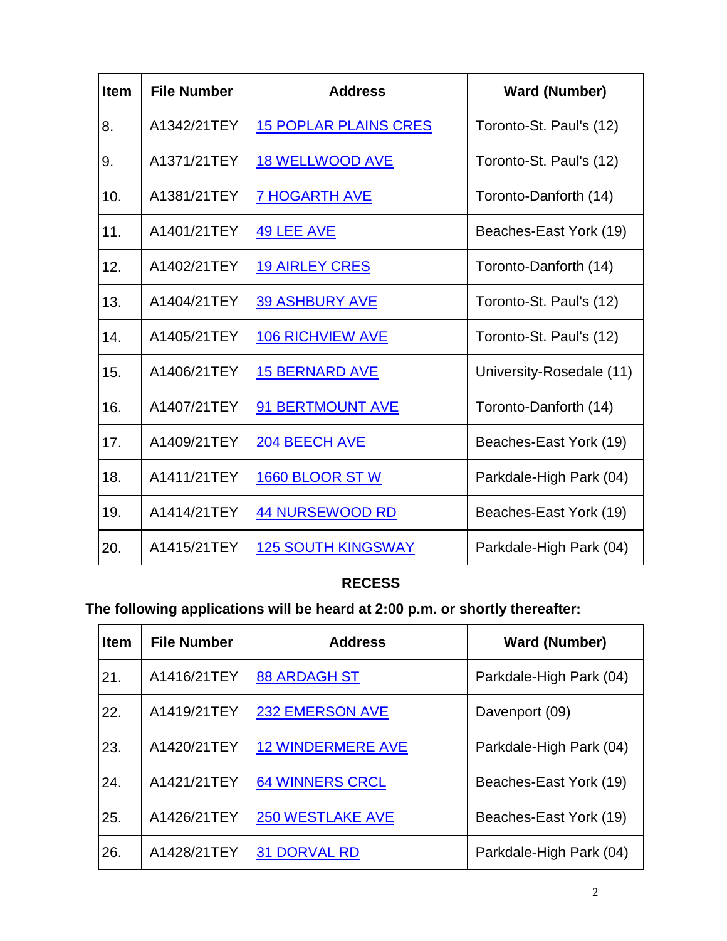| <b>Item</b> | <b>File Number</b> | <b>Address</b>               | <b>Ward (Number)</b>     |
|-------------|--------------------|------------------------------|--------------------------|
| 8.          | A1342/21TEY        | <b>15 POPLAR PLAINS CRES</b> | Toronto-St. Paul's (12)  |
| 9.          | A1371/21TEY        | <b>18 WELLWOOD AVE</b>       | Toronto-St. Paul's (12)  |
| 10.         | A1381/21TEY        | <b>7 HOGARTH AVE</b>         | Toronto-Danforth (14)    |
| 11.         | A1401/21TEY        | <b>49 LEE AVE</b>            | Beaches-East York (19)   |
| 12.         | A1402/21TEY        | <b>19 AIRLEY CRES</b>        | Toronto-Danforth (14)    |
| 13.         | A1404/21TEY        | <b>39 ASHBURY AVE</b>        | Toronto-St. Paul's (12)  |
| 14.         | A1405/21TEY        | <b>106 RICHVIEW AVE</b>      | Toronto-St. Paul's (12)  |
| 15.         | A1406/21TEY        | <b>15 BERNARD AVE</b>        | University-Rosedale (11) |
| 16.         | A1407/21TEY        | <b>91 BERTMOUNT AVE</b>      | Toronto-Danforth (14)    |
| 17.         | A1409/21TEY        | 204 BEECH AVE                | Beaches-East York (19)   |
| 18.         | A1411/21TEY        | 1660 BLOOR ST W              | Parkdale-High Park (04)  |
| 19.         | A1414/21TEY        | <b>44 NURSEWOOD RD</b>       | Beaches-East York (19)   |
| 20.         | A1415/21TEY        | <b>125 SOUTH KINGSWAY</b>    | Parkdale-High Park (04)  |

#### **RECESS**

# **The following applications will be heard at 2:00 p.m. or shortly thereafter:**

| <b>Item</b> | <b>File Number</b> | <b>Address</b>           | <b>Ward (Number)</b>    |
|-------------|--------------------|--------------------------|-------------------------|
| 21.         | A1416/21TEY        | <b>88 ARDAGH ST</b>      | Parkdale-High Park (04) |
| 22.         | A1419/21TEY        | <b>232 EMERSON AVE</b>   | Davenport (09)          |
| 23.         | A1420/21TEY        | <b>12 WINDERMERE AVE</b> | Parkdale-High Park (04) |
| 24.         | A1421/21TEY        | <b>64 WINNERS CRCL</b>   | Beaches-East York (19)  |
| 25.         | A1426/21TEY        | <b>250 WESTLAKE AVE</b>  | Beaches-East York (19)  |
| 26.         | A1428/21TEY        | <b>31 DORVAL RD</b>      | Parkdale-High Park (04) |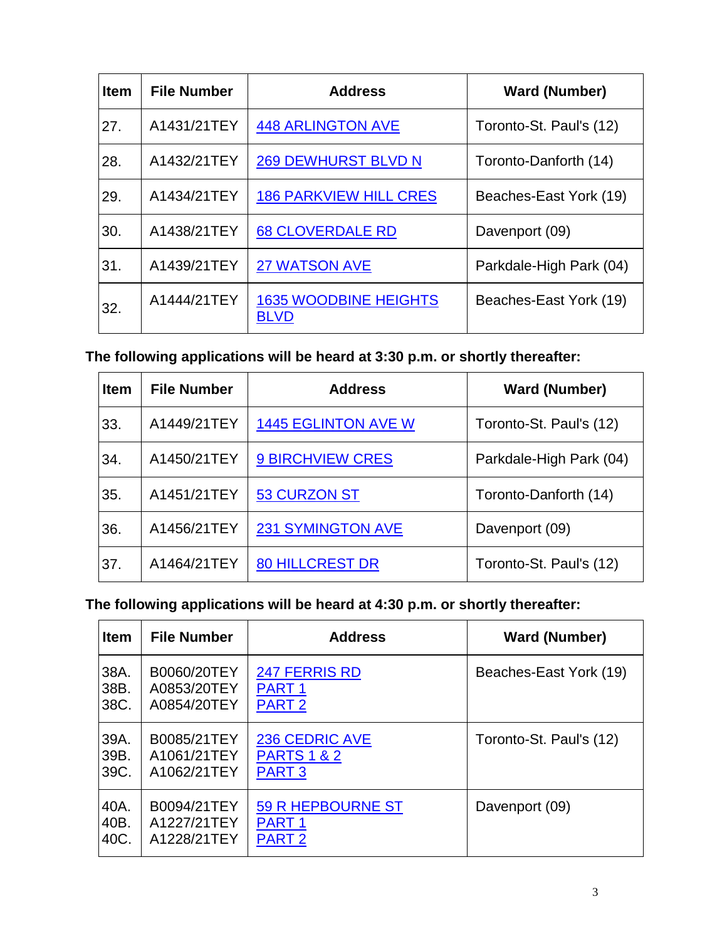| <b>Item</b> | <b>File Number</b> | <b>Address</b>                              | <b>Ward (Number)</b>    |
|-------------|--------------------|---------------------------------------------|-------------------------|
| 27.         | A1431/21TEY        | <b>448 ARLINGTON AVE</b>                    | Toronto-St. Paul's (12) |
| 28.         | A1432/21TEY        | <b>269 DEWHURST BLVD N</b>                  | Toronto-Danforth (14)   |
| 29.         | A1434/21TEY        | <b>186 PARKVIEW HILL CRES</b>               | Beaches-East York (19)  |
| 30.         | A1438/21TEY        | <b>68 CLOVERDALE RD</b>                     | Davenport (09)          |
| 31.         | A1439/21TEY        | <b>27 WATSON AVE</b>                        | Parkdale-High Park (04) |
| 32.         | A1444/21TEY        | <b>1635 WOODBINE HEIGHTS</b><br><b>BLVD</b> | Beaches-East York (19)  |

**The following applications will be heard at 3:30 p.m. or shortly thereafter:**

| <b>Item</b> | <b>File Number</b> | <b>Address</b>             | <b>Ward (Number)</b>    |
|-------------|--------------------|----------------------------|-------------------------|
| 33.         | A1449/21TEY        | <b>1445 EGLINTON AVE W</b> | Toronto-St. Paul's (12) |
| 34.         | A1450/21TEY        | <b>9 BIRCHVIEW CRES</b>    | Parkdale-High Park (04) |
| 35.         | A1451/21TEY        | <b>53 CURZON ST</b>        | Toronto-Danforth (14)   |
| 36.         | A1456/21TEY        | <b>231 SYMINGTON AVE</b>   | Davenport (09)          |
| 37.         | A1464/21TEY        | <b>80 HILLCREST DR</b>     | Toronto-St. Paul's (12) |

**The following applications will be heard at 4:30 p.m. or shortly thereafter:**

| <b>Item</b> | <b>File Number</b> | <b>Address</b>         | <b>Ward (Number)</b>    |
|-------------|--------------------|------------------------|-------------------------|
| 38A.        | B0060/20TEY        | <b>247 FERRIS RD</b>   | Beaches-East York (19)  |
| 38B.        | A0853/20TEY        | PART <sub>1</sub>      |                         |
| 38C.        | A0854/20TEY        | <b>PART 2</b>          |                         |
| 39A.        | B0085/21TEY        | <b>236 CEDRIC AVE</b>  | Toronto-St. Paul's (12) |
| 39B.        | A1061/21TEY        | <b>PARTS 1 &amp; 2</b> |                         |
| 39C.        | A1062/21TEY        | <b>PART 3</b>          |                         |
| 40A.        | B0094/21TEY        | 59 R HEPBOURNE ST      | Davenport (09)          |
| 40B.        | A1227/21TEY        | PART <sub>1</sub>      |                         |
| 40C.        | A1228/21TEY        | PART <sub>2</sub>      |                         |